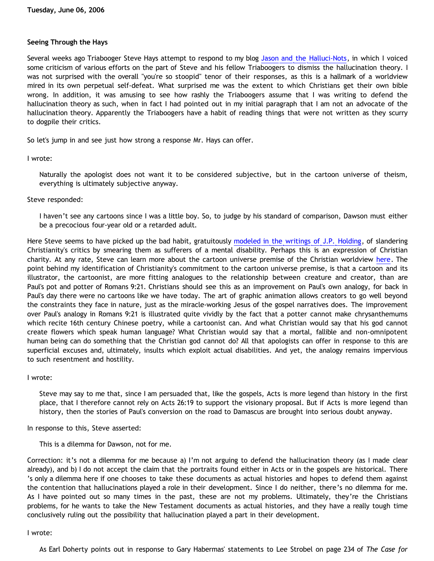### **Seeing Through the Hays**

Several weeks ago Triabooger Steve Hays attempt to respond to my blog [Jason and the Halluci-Nots,](http://bahnsenburner.blogspot.com/2006/05/jason-and-halluci-nots.html) in which I voiced some criticism of various efforts on the part of Steve and his fellow Triaboogers to dismiss the hallucination theory. I was not surprised with the overall "you're so stoopid" tenor of their responses, as this is a hallmark of a worldview mired in its own perpetual self-defeat. What surprised me was the extent to which Christians get their own bible wrong. In addition, it was amusing to see how rashly the Triaboogers assume that I was writing to defend the hallucination theory as such, when in fact I had pointed out in my initial paragraph that I am not an advocate of the hallucination theory. Apparently the Triaboogers have a habit of reading things that were not written as they scurry to dogpile their critics.

So let's jump in and see just how strong a response Mr. Hays can offer.

## I wrote:

Naturally the apologist does not want it to be considered subjective, but in the cartoon universe of theism, everything is ultimately subjective anyway.

## Steve responded:

I haven't see any cartoons since I was a little boy. So, to judge by his standard of comparison, Dawson must either be a precocious four-year old or a retarded adult.

Here Steve seems to have picked up the bad habit, gratuitously [modeled in the writings of J.P. Holding](http://the-anointed-one.com/quotes.htm), of slandering Christianity's critics by smearing them as sufferers of a mental disability. Perhaps this is an expression of Christian charity. At any rate, Steve can learn more about the cartoon universe premise of the Christian worldview [here.](http://www.strongatheism.net/library/atheology/cartoon_universe_of_theism/) The point behind my identification of Christianity's commitment to the cartoon universe premise, is that a cartoon and its illustrator, the cartoonist, are more fitting analogues to the relationship between creature and creator, than are Paul's pot and potter of Romans 9:21. Christians should see this as an improvement on Paul's own analogy, for back in Paul's day there were no cartoons like we have today. The art of graphic animation allows creators to go well beyond the constraints they face in nature, just as the miracle-working Jesus of the gospel narratives does. The improvement over Paul's analogy in Romans 9:21 is illustrated quite vividly by the fact that a potter cannot make chrysanthemums which recite 16th century Chinese poetry, while a cartoonist can. And what Christian would say that his god cannot create flowers which speak human language? What Christian would say that a mortal, fallible and non-omnipotent human being can do something that the Christian god cannot do? All that apologists can offer in response to this are superficial excuses and, ultimately, insults which exploit actual disabilities. And yet, the analogy remains impervious to such resentment and hostility.

I wrote:

Steve may say to me that, since I am persuaded that, like the gospels, Acts is more legend than history in the first place, that I therefore cannot rely on Acts 26:19 to support the visionary proposal. But if Acts is more legend than history, then the stories of Paul's conversion on the road to Damascus are brought into serious doubt anyway.

In response to this, Steve asserted:

This is a dilemma for Dawson, not for me.

Correction: it's not a dilemma for me because a) I'm not arguing to defend the hallucination theory (as I made clear already), and b) I do not accept the claim that the portraits found either in Acts or in the gospels are historical. There 's only a dilemma here if one chooses to take these documents as actual histories and hopes to defend them against the contention that hallucinations played a role in their development. Since I do neither, there's no dilemma for me. As I have pointed out so many times in the past, these are not my problems. Ultimately, they're the Christians problems, for he wants to take the New Testament documents as actual histories, and they have a really tough time conclusively ruling out the possibility that hallucination played a part in their development.

I wrote:

As Earl Doherty points out in response to Gary Habermas' statements to Lee Strobel on page 234 of *The Case for*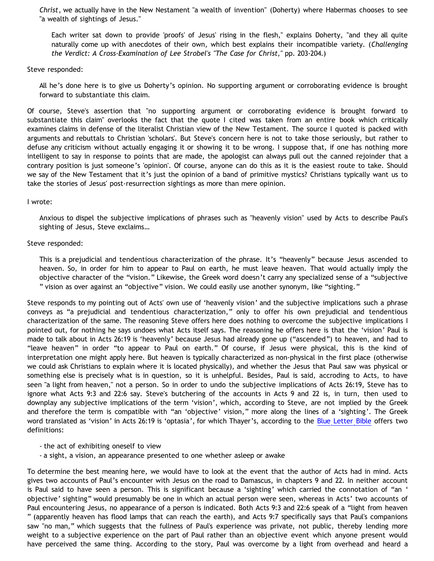*Christ*, we actually have in the New Nestament "a wealth of invention" (Doherty) where Habermas chooses to see "a wealth of sightings of Jesus."

Each writer sat down to provide 'proofs' of Jesus' rising in the flesh," explains Doherty, "and they all quite naturally come up with anecdotes of their own, which best explains their incompatible variety. (*Challenging the Verdict: A Cross-Examination of Lee Strobel's "The Case for Christ,"* pp. 203-204.)

Steve responded:

All he's done here is to give us Doherty's opinion. No supporting argument or corroborating evidence is brought forward to substantiate this claim.

Of course, Steve's assertion that "no supporting argument or corroborating evidence is brought forward to substantiate this claim" overlooks the fact that the quote I cited was taken from an entire book which critically examines claims in defense of the literalist Christian view of the New Testament. The source I quoted is packed with arguments and rebuttals to Christian 'scholars'. But Steve's concern here is not to take those seriously, but rather to defuse any criticism without actually engaging it or showing it to be wrong. I suppose that, if one has nothing more intelligent to say in response to points that are made, the apologist can always pull out the canned rejoinder that a contrary position is just someone's 'opinion'. Of course, anyone can do this as it is the easiest route to take. Should we say of the New Testament that it's just the opinion of a band of primitive mystics? Christians typically want us to take the stories of Jesus' post-resurrection sightings as more than mere opinion.

I wrote:

Anxious to dispel the subjective implications of phrases such as "heavenly vision" used by Acts to describe Paul's sighting of Jesus, Steve exclaims…

### Steve responded:

This is a prejudicial and tendentious characterization of the phrase. It's "heavenly" because Jesus ascended to heaven. So, in order for him to appear to Paul on earth, he must leave heaven. That would actually imply the objective character of the "vision." Likewise, the Greek word doesn't carry any specialized sense of a "subjective " vision as over against an "objective" vision. We could easily use another synonym, like "sighting."

Steve responds to my pointing out of Acts' own use of 'heavenly vision' and the subjective implications such a phrase conveys as "a prejudicial and tendentious characterization," only to offer his own prejudicial and tendentious characterization of the same. The reasoning Steve offers here does nothing to overcome the subjective implications I pointed out, for nothing he says undoes what Acts itself says. The reasoning he offers here is that the 'vision' Paul is made to talk about in Acts 26:19 is 'heavenly' because Jesus had already gone up ("ascended") to heaven, and had to "leave heaven" in order "to appear to Paul on earth." Of course, if Jesus were physical, this is the kind of interpretation one might apply here. But heaven is typically characterized as non-physical in the first place (otherwise we could ask Christians to explain where it is located physically), and whether the Jesus that Paul saw was physical or something else is precisely what is in question, so it is unhelpful. Besides, Paul is said, accroding to Acts, to have seen "a light from heaven," not a person. So in order to undo the subjective implications of Acts 26:19, Steve has to ignore what Acts 9:3 and 22:6 say. Steve's butchering of the accounts in Acts 9 and 22 is, in turn, then used to downplay any subjective implications of the term 'vision', which, according to Steve, are not implied by the Greek and therefore the term is compatible with "an 'objective' vision," more along the lines of a 'sighting'. The Greek word translated as 'vision' in Acts 26:19 is 'optasia', for which Thayer's, according to the [Blue Letter Bible](http://www.blueletterbible.org/tmp_dir/words/3/1148929332-1055.html) offers two definitions:

- the act of exhibiting oneself to view
- a sight, a vision, an appearance presented to one whether asleep or awake

To determine the best meaning here, we would have to look at the event that the author of Acts had in mind. Acts gives two accounts of Paul's encounter with Jesus on the road to Damascus, in chapters 9 and 22. In neither account is Paul said to have seen a person. This is significant because a 'sighting' which carried the connotation of "an ' objective' sighting" would presumably be one in which an actual person were seen, whereas in Acts' two accounts of Paul encountering Jesus, no appearance of a person is indicated. Both Acts 9:3 and 22:6 speak of a "light from heaven " (apparently heaven has flood lamps that can reach the earth), and Acts 9:7 specifically says that Paul's companions saw "no man," which suggests that the fullness of Paul's experience was private, not public, thereby lending more weight to a subjective experience on the part of Paul rather than an objective event which anyone present would have perceived the same thing. According to the story, Paul was overcome by a light from overhead and heard a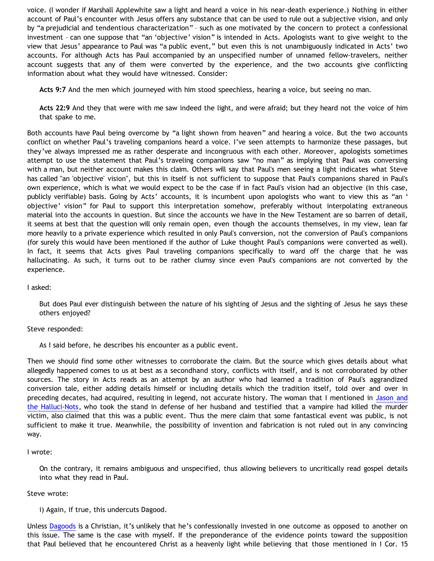voice. (I wonder if Marshall Applewhite saw a light and heard a voice in his near-death experience.) Nothing in either account of Paul's encounter with Jesus offers any substance that can be used to rule out a subjective vision, and only by "a prejudicial and tendentious characterization" – such as one motivated by the concern to protect a confessional investment – can one suppose that "an 'objective' vision" is intended in Acts. Apologists want to give weight to the view that Jesus' appearance to Paul was "a public event," but even this is not unambiguously indicated in Acts' two accounts. For although Acts has Paul accompanied by an unspecified number of unnamed fellow-travelers, neither account suggests that any of them were converted by the experience, and the two accounts give conflicting information about what they would have witnessed. Consider:

**Acts 9:7** And the men which journeyed with him stood speechless, hearing a voice, but seeing no man.

**Acts 22:9** And they that were with me saw indeed the light, and were afraid; but they heard not the voice of him that spake to me.

Both accounts have Paul being overcome by "a light shown from heaven" and hearing a voice. But the two accounts conflict on whether Paul's traveling companions heard a voice. I've seen attempts to harmonize these passages, but they've always impressed me as rather desperate and incongruous with each other. Moreover, apologists sometimes attempt to use the statement that Paul's traveling companions saw "no man" as implying that Paul was conversing with a man, but neither account makes this claim. Others will say that Paul's men seeing a light indicates what Steve has called "an 'objective' vision", but this in itself is not sufficient to suppose that Paul's companions shared in Paul's own experience, which is what we would expect to be the case if in fact Paul's vision had an objective (in this case, publicly verifiable) basis. Going by Acts' accounts, it is incumbent upon apologists who want to view this as "an ' objective' vision" for Paul to support this interpretation somehow, preferably without interpolating extraneous material into the accounts in question. But since the accounts we have in the New Testament are so barren of detail, it seems at best that the question will only remain open, even though the accounts themselves, in my view, lean far more heavily to a private experience which resulted in only Paul's conversion, not the conversion of Paul's companions (for surely this would have been mentioned if the author of Luke thought Paul's companions were converted as well). In fact, it seems that Acts gives Paul traveling companions specifically to ward off the charge that he was hallucinating. As such, it turns out to be rather clumsy since even Paul's companions are not converted by the experience.

I asked:

But does Paul ever distinguish between the nature of his sighting of Jesus and the sighting of Jesus he says these others enjoyed?

Steve responded:

As I said before, he describes his encounter as a public event.

Then we should find some other witnesses to corroborate the claim. But the source which gives details about what allegedly happened comes to us at best as a secondhand story, conflicts with itself, and is not corroborated by other sources. The story in Acts reads as an attempt by an author who had learned a tradition of Paul's aggrandized conversion tale, either adding details himself or including details which the tradition itself, told over and over in preceding decates, had acquired, resulting in legend, not accurate history. The woman that I mentioned in [Jason and](http://bahnsenburner.blogspot.com/2006/05/jason-and-halluci-nots.html) [the Halluci-Nots](http://bahnsenburner.blogspot.com/2006/05/jason-and-halluci-nots.html), who took the stand in defense of her husband and testified that a vampire had killed the murder victim, also claimed that this was a public event. Thus the mere claim that some fantastical event was public, is not sufficient to make it true. Meanwhile, the possibility of invention and fabrication is not ruled out in any convincing way.

# I wrote:

On the contrary, it remains ambiguous and unspecified, thus allowing believers to uncritically read gospel details into what they read in Paul.

### Steve wrote:

i) Again, if true, this undercuts Dagood.

Unless [Dagoods](http://www.blogger.com/profile/17255210) is a Christian, it's unlikely that he's confessionally invested in one outcome as opposed to another on this issue. The same is the case with myself. If the preponderance of the evidence points toward the supposition that Paul believed that he encountered Christ as a heavenly light while believing that those mentioned in I Cor. 15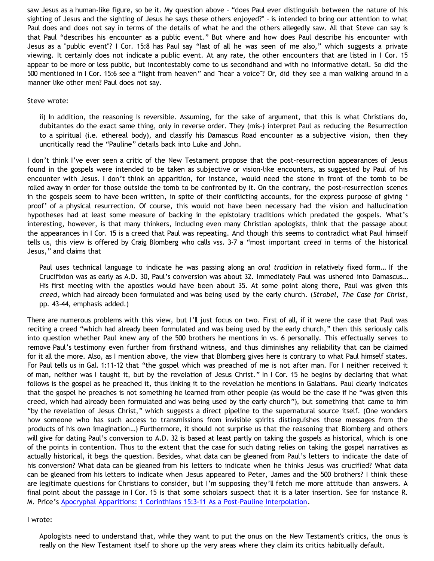saw Jesus as a human-like figure, so be it. My question above – "does Paul ever distinguish between the nature of his sighting of Jesus and the sighting of Jesus he says these others enjoyed?" – is intended to bring our attention to what Paul does and does not say in terms of the details of what he and the others allegedly saw. All that Steve can say is that Paul "describes his encounter as a public event." But where and how does Paul describe his encounter with Jesus as a "public event"? I Cor. 15:8 has Paul say "last of all he was seen of me also," which suggests a private viewing. It certainly does not indicate a public event. At any rate, the other encounters that are listed in I Cor. 15 appear to be more or less public, but incontestably come to us secondhand and with no informative detail. So did the 500 mentioned in I Cor. 15:6 see a "light from heaven" and "hear a voice"? Or, did they see a man walking around in a manner like other men? Paul does not say.

#### Steve wrote:

ii) In addition, the reasoning is reversible. Assuming, for the sake of argument, that this is what Christians do, dubitantes do the exact same thing, only in reverse order. They (mis-) interpret Paul as reducing the Resurrection to a spiritual (i.e. ethereal body), and classify his Damascus Road encounter as a subjective vision, then they uncritically read the "Pauline" details back into Luke and John.

I don't think I've ever seen a critic of the New Testament propose that the post-resurrection appearances of Jesus found in the gospels were intended to be taken as subjective or vision-like encounters, as suggested by Paul of his encounter with Jesus. I don't think an apparition, for instance, would need the stone in front of the tomb to be rolled away in order for those outside the tomb to be confronted by it. On the contrary, the post-resurrection scenes in the gospels seem to have been written, in spite of their conflicting accounts, for the express purpose of giving ' proof' of a physical resurrection. Of course, this would not have been necessary had the vision and hallucination hypotheses had at least some measure of backing in the epistolary traditions which predated the gospels. What's interesting, however, is that many thinkers, including even many Christian apologists, think that the passage about the appearances in I Cor. 15 is a creed that Paul was repeating. And though this seems to contradict what Paul himself tells us, this view is offered by Craig Blomberg who calls vss. 3-7 a "most important *creed* in terms of the historical Jesus," and claims that

Paul uses technical language to indicate he was passing along an *oral tradition* in relatively fixed form… If the Crucifixion was as early as A.D. 30, Paul's conversion was about 32. Immediately Paul was ushered into Damascus… His first meeting with the apostles would have been about 35. At some point along there, Paul was given this *creed*, which had already been formulated and was being used by the early church. (*Strobel, The Case for Christ*, pp. 43-44, emphasis added.)

There are numerous problems with this view, but I'll just focus on two. First of all, if it were the case that Paul was reciting a creed "which had already been formulated and was being used by the early church," then this seriously calls into question whether Paul knew any of the 500 brothers he mentions in vs. 6 personally. This effectually serves to remove Paul's testimony even further from firsthand witness, and thus diminishes any reliability that can be claimed for it all the more. Also, as I mention above, the view that Blomberg gives here is contrary to what Paul himself states. For Paul tells us in Gal. 1:11-12 that "the gospel which was preached of me is not after man. For I neither received it of man, neither was I taught it, but by the revelation of Jesus Christ." In I Cor. 15 he begins by declaring that what follows is the gospel as he preached it, thus linking it to the revelation he mentions in Galatians. Paul clearly indicates that the gospel he preaches is not something he learned from other people (as would be the case if he "was given this creed, which had already been formulated and was being used by the early church"), but something that came to him "by the revelation of Jesus Christ," which suggests a direct pipeline to the supernatural source itself. (One wonders how someone who has such access to transmissions from invisible spirits distinguishes those messages from the products of his own imagination…) Furthermore, it should not surprise us that the reasoning that Blomberg and others will give for dating Paul's conversion to A.D. 32 is based at least partly on taking the gospels as historical, which is one of the points in contention. Thus to the extent that the case for such dating relies on taking the gospel narratives as actually historical, it begs the question. Besides, what data can be gleaned from Paul's letters to indicate the date of his conversion? What data can be gleaned from his letters to indicate when he thinks Jesus was crucified? What data can be gleaned from his letters to indicate when Jesus appeared to Peter, James and the 500 brothers? I think these are legitimate questions for Christians to consider, but I'm supposing they'll fetch me more attitude than answers. A final point about the passage in I Cor. 15 is that some scholars suspect that it is a later insertion. See for instance R. M. Price's [Apocryphal Apparitions: 1 Corinthians 15:3-11 As a Post-Pauline Interpolation](http://www.infidels.org/library/modern/robert_price/apocrypha.html).

#### I wrote:

Apologists need to understand that, while they want to put the onus on the New Testament's critics, the onus is really on the New Testament itself to shore up the very areas where they claim its critics habitually default.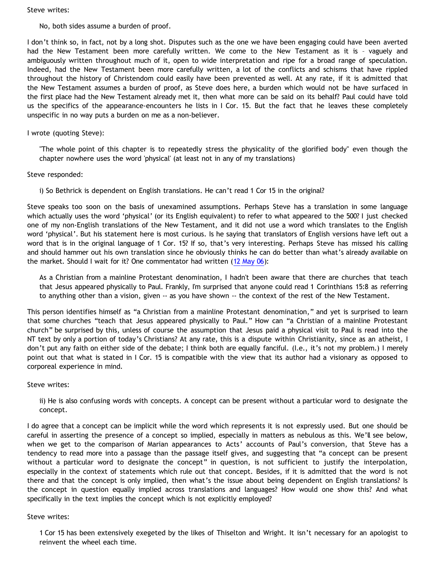Steve writes:

## No, both sides assume a burden of proof.

I don't think so, in fact, not by a long shot. Disputes such as the one we have been engaging could have been averted had the New Testament been more carefully written. We come to the New Testament as it is – vaguely and ambiguously written throughout much of it, open to wide interpretation and ripe for a broad range of speculation. Indeed, had the New Testament been more carefully written, a lot of the conflicts and schisms that have rippled throughout the history of Christendom could easily have been prevented as well. At any rate, if it is admitted that the New Testament assumes a burden of proof, as Steve does here, a burden which would not be have surfaced in the first place had the New Testament already met it, then what more can be said on its behalf? Paul could have told us the specifics of the appearance-encounters he lists in I Cor. 15. But the fact that he leaves these completely unspecific in no way puts a burden on me as a non-believer.

## I wrote (quoting Steve):

"The whole point of this chapter is to repeatedly stress the physicality of the glorified body" even though the chapter nowhere uses the word 'physical' (at least not in any of my translations)

## Steve responded:

i) So Bethrick is dependent on English translations. He can't read 1 Cor 15 in the original?

Steve speaks too soon on the basis of unexamined assumptions. Perhaps Steve has a translation in some language which actually uses the word 'physical' (or its English equivalent) to refer to what appeared to the 500? I just checked one of my non-English translations of the New Testament, and it did not use a word which translates to the English word 'physical'. But his statement here is most curious. Is he saying that translators of English versions have left out a word that is in the original language of 1 Cor. 15? If so, that's very interesting. Perhaps Steve has missed his calling and should hammer out his own translation since he obviously thinks he can do better than what's already available on the market. Should I wait for it? One commentator had written [\(12 May 06\)](http://debunkingchristianity.blogspot.com/2006/05/paul-and-visions.html):

As a Christian from a mainline Protestant denomination, I hadn't been aware that there are churches that teach that Jesus appeared physically to Paul. Frankly, I'm surprised that anyone could read 1 Corinthians 15:8 as referring to anything other than a vision, given -- as you have shown -- the context of the rest of the New Testament.

This person identifies himself as "a Christian from a mainline Protestant denomination," and yet is surprised to learn that some churches "teach that Jesus appeared physically to Paul." How can "a Christian of a mainline Protestant church" be surprised by this, unless of course the assumption that Jesus paid a physical visit to Paul is read into the NT text by only a portion of today's Christians? At any rate, this is a dispute within Christianity, since as an atheist, I don't put any faith on either side of the debate; I think both are equally fanciful. (I.e., it's not my problem.) I merely point out that what is stated in I Cor. 15 is compatible with the view that its author had a visionary as opposed to corporeal experience in mind.

### Steve writes:

ii) He is also confusing words with concepts. A concept can be present without a particular word to designate the concept.

I do agree that a concept can be implicit while the word which represents it is not expressly used. But one should be careful in asserting the presence of a concept so implied, especially in matters as nebulous as this. We'll see below, when we get to the comparison of Marian appearances to Acts' accounts of Paul's conversion, that Steve has a tendency to read more into a passage than the passage itself gives, and suggesting that "a concept can be present without a particular word to designate the concept" in question, is not sufficient to justify the interpolation, especially in the context of statements which rule out that concept. Besides, if it is admitted that the word is not there and that the concept is only implied, then what's the issue about being dependent on English translations? Is the concept in question equally implied across translations and languages? How would one show this? And what specifically in the text implies the concept which is not explicitly employed?

### Steve writes:

1 Cor 15 has been extensively exegeted by the likes of Thiselton and Wright. It isn't necessary for an apologist to reinvent the wheel each time.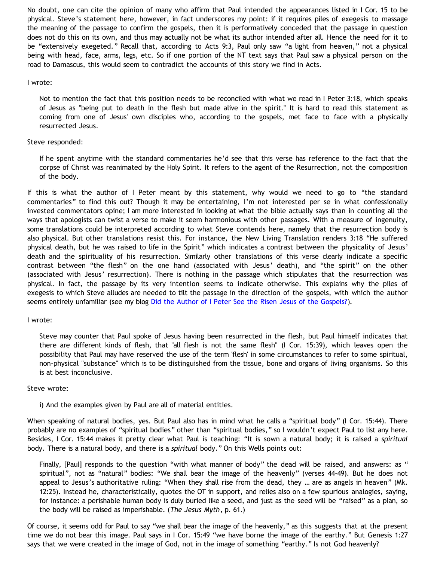No doubt, one can cite the opinion of many who affirm that Paul intended the appearances listed in I Cor. 15 to be physical. Steve's statement here, however, in fact underscores my point: if it requires piles of exegesis to massage the meaning of the passage to confirm the gospels, then it is performatively conceded that the passage in question does not do this on its own, and thus may actually not be what its author intended after all. Hence the need for it to be "extensively exegeted." Recall that, according to Acts 9:3, Paul only saw "a light from heaven," not a physical being with head, face, arms, legs, etc. So if one portion of the NT text says that Paul saw a physical person on the road to Damascus, this would seem to contradict the accounts of this story we find in Acts.

### I wrote:

Not to mention the fact that this position needs to be reconciled with what we read in I Peter 3:18, which speaks of Jesus as "being put to death in the flesh but made alive in the spirit." It is hard to read this statement as coming from one of Jesus' own disciples who, according to the gospels, met face to face with a physically resurrected Jesus.

## Steve responded:

If he spent anytime with the standard commentaries he'd see that this verse has reference to the fact that the corpse of Christ was reanimated by the Holy Spirit. It refers to the agent of the Resurrection, not the composition of the body.

If this is what the author of I Peter meant by this statement, why would we need to go to "the standard commentaries" to find this out? Though it may be entertaining, I'm not interested per se in what confessionally invested commentators opine; I am more interested in looking at what the bible actually says than in counting all the ways that apologists can twist a verse to make it seem harmonious with other passages. With a measure of ingenuity, some translations could be interpreted according to what Steve contends here, namely that the resurrection body is also physical. But other translations resist this. For instance, the New Living Translation renders 3:18 "He suffered physical death, but he was raised to life in the Spirit" which indicates a contrast between the physicality of Jesus' death and the spirituality of his resurrection. Similarly other translations of this verse clearly indicate a specific contrast between "the flesh" on the one hand (associated with Jesus' death), and "the spirit" on the other (associated with Jesus' resurrection). There is nothing in the passage which stipulates that the resurrection was physical. In fact, the passage by its very intention seems to indicate otherwise. This explains why the piles of exegesis to which Steve alludes are needed to tilt the passage in the direction of the gospels, with which the author seems entirely unfamiliar (see my blog [Did the Author of I Peter See the Risen Jesus of the Gospels?](http://bahnsenburner.blogspot.com/2006/05/did-author-of-i-peter-see-risen-jesus.html)).

### I wrote:

Steve may counter that Paul spoke of Jesus having been resurrected in the flesh, but Paul himself indicates that there are different kinds of flesh, that "all flesh is not the same flesh" (I Cor. 15:39), which leaves open the possibility that Paul may have reserved the use of the term 'flesh' in some circumstances to refer to some spiritual, non-physical "substance" which is to be distinguished from the tissue, bone and organs of living organisms. So this is at best inconclusive.

### Steve wrote:

i) And the examples given by Paul are all of material entities.

When speaking of natural bodies, yes. But Paul also has in mind what he calls a "spiritual body" (I Cor. 15:44). There probably are no examples of "spiritual bodies" other than "spiritual bodies," so I wouldn't expect Paul to list any here. Besides, I Cor. 15:44 makes it pretty clear what Paul is teaching: "It is sown a natural body; it is raised a *spiritual* body. There is a natural body, and there is a *spiritual* body." On this Wells points out:

Finally, [Paul] responds to the question "with what manner of body" the dead will be raised, and answers: as " spiritual", not as "natural" bodies: "We shall bear the image of the heavenly" (verses 44-49). But he does not appeal to Jesus's authoritative ruling: "When they shall rise from the dead, they … are as angels in heaven" (Mk. 12:25). Instead he, characteristically, quotes the OT in support, and relies also on a few spurious analogies, saying, for instance: a perishable human body is duly buried like a seed, and just as the seed will be "raised" as a plan, so the body will be raised as imperishable. (*The Jesus Myth*, p. 61.)

Of course, it seems odd for Paul to say "we shall bear the image of the heavenly," as this suggests that at the present time we do not bear this image. Paul says in I Cor. 15:49 "we have borne the image of the earthy." But Genesis 1:27 says that we were created in the image of God, not in the image of something "earthy." Is not God heavenly?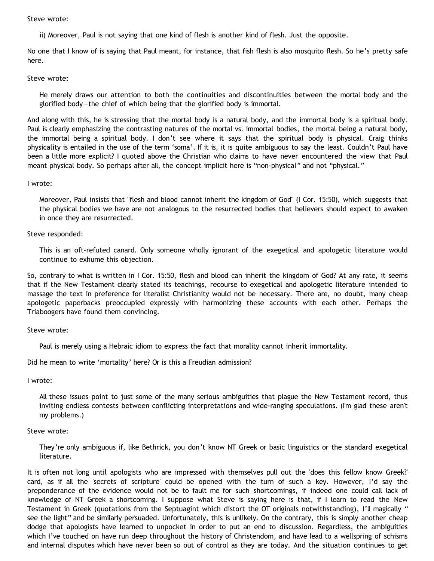Steve wrote:

ii) Moreover, Paul is not saying that one kind of flesh is another kind of flesh. Just the opposite.

No one that I know of is saying that Paul meant, for instance, that fish flesh is also mosquito flesh. So he's pretty safe here.

#### Steve wrote:

He merely draws our attention to both the continuities and discontinuities between the mortal body and the glorified body—the chief of which being that the glorified body is immortal.

And along with this, he is stressing that the mortal body is a natural body, and the immortal body is a spiritual body. Paul is clearly emphasizing the contrasting natures of the mortal vs. immortal bodies, the mortal being a natural body, the immortal being a spiritual body. I don't see where it says that the spiritual body is physical. Craig thinks physicality is entailed in the use of the term 'soma'. If it is, it is quite ambiguous to say the least. Couldn't Paul have been a little more explicit? I quoted above the Christian who claims to have never encountered the view that Paul meant physical body. So perhaps after all, the concept implicit here is "non-physical" and not "physical."

### I wrote:

Moreover, Paul insists that "flesh and blood cannot inherit the kingdom of God" (I Cor. 15:50), which suggests that the physical bodies we have are not analogous to the resurrected bodies that believers should expect to awaken in once they are resurrected.

### Steve responded:

This is an oft-refuted canard. Only someone wholly ignorant of the exegetical and apologetic literature would continue to exhume this objection.

So, contrary to what is written in I Cor. 15:50, flesh and blood can inherit the kingdom of God? At any rate, it seems that if the New Testament clearly stated its teachings, recourse to exegetical and apologetic literature intended to massage the text in preference for literalist Christianity would not be necessary. There are, no doubt, many cheap apologetic paperbacks preoccupied expressly with harmonizing these accounts with each other. Perhaps the Triaboogers have found them convincing.

### Steve wrote:

Paul is merely using a Hebraic idiom to express the fact that morality cannot inherit immortality.

Did he mean to write 'mortality' here? Or is this a Freudian admission?

#### I wrote:

All these issues point to just some of the many serious ambiguities that plague the New Testament record, thus inviting endless contests between conflicting interpretations and wide-ranging speculations. (I'm glad these aren't my problems.)

### Steve wrote:

They're only ambiguous if, like Bethrick, you don't know NT Greek or basic linguistics or the standard exegetical literature.

It is often not long until apologists who are impressed with themselves pull out the 'does this fellow know Greek?' card, as if all the 'secrets of scripture' could be opened with the turn of such a key. However, I'd say the preponderance of the evidence would not be to fault me for such shortcomings, if indeed one could call lack of knowledge of NT Greek a shortcoming. I suppose what Steve is saying here is that, if I learn to read the New Testament in Greek (quotations from the Septuagint which distort the OT originals notwithstanding), I'll magically " see the light" and be similarly persuaded. Unfortunately, this is unlikely. On the contrary, this is simply another cheap dodge that apologists have learned to unpocket in order to put an end to discussion. Regardless, the ambiguities which I've touched on have run deep throughout the history of Christendom, and have lead to a wellspring of schisms and internal disputes which have never been so out of control as they are today. And the situation continues to get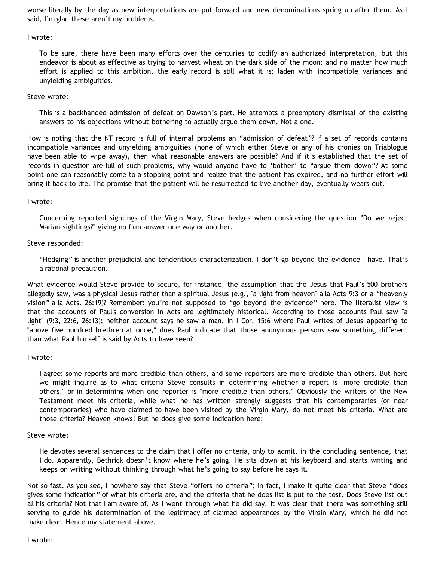worse literally by the day as new interpretations are put forward and new denominations spring up after them. As I said, I'm glad these aren't my problems.

### I wrote:

To be sure, there have been many efforts over the centuries to codify an authorized interpretation, but this endeavor is about as effective as trying to harvest wheat on the dark side of the moon; and no matter how much effort is applied to this ambition, the early record is still what it is: laden with incompatible variances and unyielding ambiguities.

## Steve wrote:

This is a backhanded admission of defeat on Dawson's part. He attempts a preemptory dismissal of the existing answers to his objections without bothering to actually argue them down. Not a one.

How is noting that the NT record is full of internal problems an "admission of defeat"? If a set of records contains incompatible variances and unyielding ambiguities (none of which either Steve or any of his cronies on Triablogue have been able to wipe away), then what reasonable answers are possible? And if it's established that the set of records in question are full of such problems, why would anyone have to 'bother' to "argue them down"? At some point one can reasonably come to a stopping point and realize that the patient has expired, and no further effort will bring it back to life. The promise that the patient will be resurrected to live another day, eventually wears out.

## I wrote:

Concerning reported sightings of the Virgin Mary, Steve hedges when considering the question "Do we reject Marian sightings?" giving no firm answer one way or another.

# Steve responded:

"Hedging" is another prejudicial and tendentious characterization. I don't go beyond the evidence I have. That's a rational precaution.

What evidence would Steve provide to secure, for instance, the assumption that the Jesus that Paul's 500 brothers allegedly saw, was a physical Jesus rather than a spiritual Jesus (e.g., "a light from heaven" a la Acts 9:3 or a "heavenly vision" a la Acts. 26:19)? Remember: you're not supposed to "go beyond the evidence" here. The literalist view is that the accounts of Paul's conversion in Acts are legitimately historical. According to those accounts Paul saw "a light" (9:3, 22:6, 26:13); neither account says he saw a man. In I Cor. 15:6 where Paul writes of Jesus appearing to "above five hundred brethren at once," does Paul indicate that those anonymous persons saw something different than what Paul himself is said by Acts to have seen?

### I wrote:

I agree: some reports are more credible than others, and some reporters are more credible than others. But here we might inquire as to what criteria Steve consults in determining whether a report is "more credible than others," or in determining when one reporter is "more credible than others." Obviously the writers of the New Testament meet his criteria, while what he has written strongly suggests that his contemporaries (or near contemporaries) who have claimed to have been visited by the Virgin Mary, do not meet his criteria. What are those criteria? Heaven knows! But he does give some indication here:

### Steve wrote:

He devotes several sentences to the claim that I offer no criteria, only to admit, in the concluding sentence, that I do. Apparently, Bethrick doesn't know where he's going. He sits down at his keyboard and starts writing and keeps on writing without thinking through what he's going to say before he says it.

Not so fast. As you see, I nowhere say that Steve "offers no criteria"; in fact, I make it quite clear that Steve "does gives some indication" of what his criteria are, and the criteria that he does list is put to the test. Does Steve list out all his criteria? Not that I am aware of. As I went through what he did say, it was clear that there was something still serving to guide his determination of the legitimacy of claimed appearances by the Virgin Mary, which he did not make clear. Hence my statement above.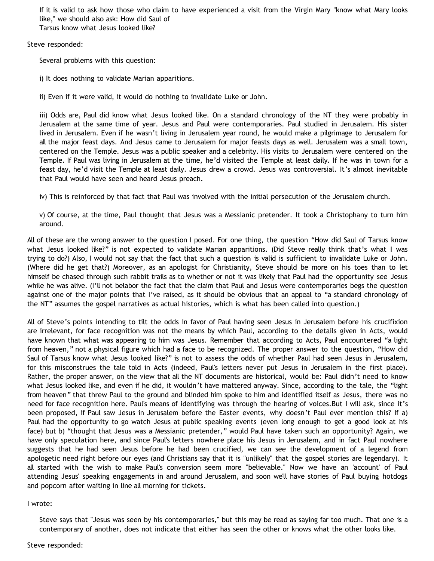If it is valid to ask how those who claim to have experienced a visit from the Virgin Mary "know what Mary looks like," we should also ask: How did Saul of Tarsus know what Jesus looked like?

Steve responded:

Several problems with this question:

i) It does nothing to validate Marian apparitions.

ii) Even if it were valid, it would do nothing to invalidate Luke or John.

iii) Odds are, Paul did know what Jesus looked like. On a standard chronology of the NT they were probably in Jerusalem at the same time of year. Jesus and Paul were contemporaries. Paul studied in Jerusalem. His sister lived in Jerusalem. Even if he wasn't living in Jerusalem year round, he would make a pilgrimage to Jerusalem for all the major feast days. And Jesus came to Jerusalem for major feasts days as well. Jerusalem was a small town, centered on the Temple. Jesus was a public speaker and a celebrity. His visits to Jerusalem were centered on the Temple. If Paul was living in Jerusalem at the time, he'd visited the Temple at least daily. If he was in town for a feast day, he'd visit the Temple at least daily. Jesus drew a crowd. Jesus was controversial. It's almost inevitable that Paul would have seen and heard Jesus preach.

iv) This is reinforced by that fact that Paul was involved with the initial persecution of the Jerusalem church.

v) Of course, at the time, Paul thought that Jesus was a Messianic pretender. It took a Christophany to turn him around.

All of these are the wrong answer to the question I posed. For one thing, the question "How did Saul of Tarsus know what Jesus looked like?" is not expected to validate Marian apparitions. (Did Steve really think that's what I was trying to do?) Also, I would not say that the fact that such a question is valid is sufficient to invalidate Luke or John. (Where did he get that?) Moreover, as an apologist for Christianity, Steve should be more on his toes than to let himself be chased through such rabbit trails as to whether or not it was likely that Paul had the opportunity see Jesus while he was alive. (I'll not belabor the fact that the claim that Paul and Jesus were contemporaries begs the question against one of the major points that I've raised, as it should be obvious that an appeal to "a standard chronology of the NT" assumes the gospel narratives as actual histories, which is what has been called into question.)

All of Steve's points intending to tilt the odds in favor of Paul having seen Jesus in Jerusalem before his crucifixion are irrelevant, for face recognition was not the means by which Paul, according to the details given in Acts, would have known that what was appearing to him was Jesus. Remember that according to Acts, Paul encountered "a light from heaven," not a physical figure which had a face to be recognized. The proper answer to the question, "How did Saul of Tarsus know what Jesus looked like?" is not to assess the odds of whether Paul had seen Jesus in Jerusalem, for this misconstrues the tale told in Acts (indeed, Paul's letters never put Jesus in Jerusalem in the first place). Rather, the proper answer, on the view that all the NT documents are historical, would be: Paul didn't need to know what Jesus looked like, and even if he did, it wouldn't have mattered anyway. Since, according to the tale, the "light from heaven" that threw Paul to the ground and blinded him spoke to him and identified itself as Jesus, there was no need for face recognition here. Paul's means of identifying was through the hearing of voices.But I will ask, since it's been proposed, if Paul saw Jesus in Jerusalem before the Easter events, why doesn't Paul ever mention this? If a) Paul had the opportunity to go watch Jesus at public speaking events (even long enough to get a good look at his face) but b) "thought that Jesus was a Messianic pretender," would Paul have taken such an opportunity? Again, we have only speculation here, and since Paul's letters nowhere place his Jesus in Jerusalem, and in fact Paul nowhere suggests that he had seen Jesus before he had been crucified, we can see the development of a legend from apologetic need right before our eyes (and Christians say that it is "unlikely" that the gospel stories are legendary). It all started with the wish to make Paul's conversion seem more "believable." Now we have an 'account' of Paul attending Jesus' speaking engagements in and around Jerusalem, and soon we'll have stories of Paul buying hotdogs and popcorn after waiting in line all morning for tickets.

### I wrote:

Steve says that "Jesus was seen by his contemporaries," but this may be read as saying far too much. That one is a contemporary of another, does not indicate that either has seen the other or knows what the other looks like.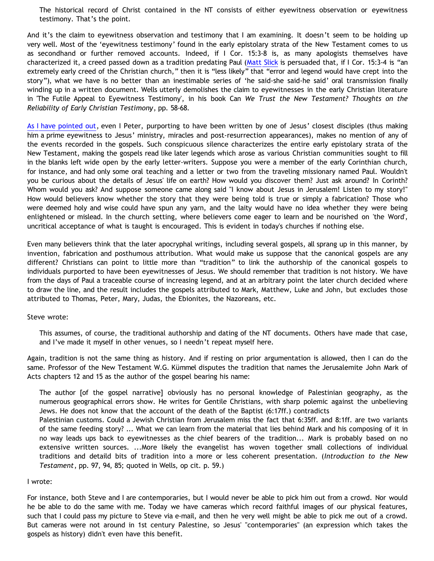The historical record of Christ contained in the NT consists of either eyewitness observation or eyewitness testimony. That's the point.

And it's the claim to eyewitness observation and testimony that I am examining. It doesn't seem to be holding up very well. Most of the 'eyewitness testimony' found in the early epistolary strata of the New Testament comes to us as secondhand or further removed accounts. Indeed, if I Cor. 15:3-8 is, as many apologists themselves have characterized it, a creed passed down as a tradition predating Paul ([Matt Slick](http://www.carm.org/evidence/1Cor15_3-4.htm) is persuaded that, if I Cor. 15:3-4 is "an extremely early creed of the Christian church," then it is "less likely" that "error and legend would have crept into the story"), what we have is no better than an inestimable series of 'he said-she said-he said' oral transmission finally winding up in a written document. Wells utterly demolishes the claim to eyewitnesses in the early Christian literature in 'The Futile Appeal to Eyewitness Testimony', in his book Can *We Trust the New Testament? Thoughts on the Reliability of Early Christian Testimony*, pp. 58-68.

[As I have pointed out](http://bahnsenburner.blogspot.com/2006/05/did-author-of-i-peter-see-risen-jesus.html), even I Peter, purporting to have been written by one of Jesus' closest disciples (thus making him a prime eyewitness to Jesus' ministry, miracles and post-resurrection appearances), makes no mention of any of the events recorded in the gospels. Such conspicuous silence characterizes the entire early epistolary strata of the New Testament, making the gospels read like later legends which arose as various Christian communities sought to fill in the blanks left wide open by the early letter-writers. Suppose you were a member of the early Corinthian church, for instance, and had only some oral teaching and a letter or two from the traveling missionary named Paul. Wouldn't you be curious about the details of Jesus' life on earth? How would you discover them? Just ask around? In Corinth? Whom would you ask? And suppose someone came along said "I know about Jesus in Jerusalem! Listen to my story!" How would believers know whether the story that they were being told is true or simply a fabrication? Those who were deemed holy and wise could have spun any yarn, and the laity would have no idea whether they were being enlightened or mislead. In the church setting, where believers come eager to learn and be nourished on 'the Word', uncritical acceptance of what is taught is encouraged. This is evident in today's churches if nothing else.

Even many believers think that the later apocryphal writings, including several gospels, all sprang up in this manner, by invention, fabrication and posthumous attribution. What would make us suppose that the canonical gospels are any different? Christians can point to little more than "tradition" to link the authorship of the canonical gospels to individuals purported to have been eyewitnesses of Jesus. We should remember that tradition is not history. We have from the days of Paul a traceable course of increasing legend, and at an arbitrary point the later church decided where to draw the line, and the result includes the gospels attributed to Mark, Matthew, Luke and John, but excludes those attributed to Thomas, Peter, Mary, Judas, the Ebionites, the Nazoreans, etc.

Steve wrote:

This assumes, of course, the traditional authorship and dating of the NT documents. Others have made that case, and I've made it myself in other venues, so I needn't repeat myself here.

Again, tradition is not the same thing as history. And if resting on prior argumentation is allowed, then I can do the same. Professor of the New Testament W.G. Kümmel disputes the tradition that names the Jerusalemite John Mark of Acts chapters 12 and 15 as the author of the gospel bearing his name:

The author [of the gospel narrative] obviously has no personal knowledge of Palestinian geography, as the numerous geographical errors show. He writes for Gentile Christians, with sharp polemic against the unbelieving Jews. He does not know that the account of the death of the Baptist (6:17ff.) contradicts

Palestinian customs. Could a Jewish Christian from Jerusalem miss the fact that 6:35ff. and 8:1ff. are two variants of the same feeding story? ... What we can learn from the material that lies behind Mark and his composing of it in no way leads ups back to eyewitnesses as the chief bearers of the tradition... Mark is probably based on no extensive written sources. ...More likely the evangelist has woven together small collections of individual traditions and detaild bits of tradition into a more or less coherent presentation. (*Introduction to the New Testament*, pp. 97, 94, 85; quoted in Wells, op cit. p. 59.)

### I wrote:

For instance, both Steve and I are contemporaries, but I would never be able to pick him out from a crowd. Nor would he be able to do the same with me. Today we have cameras which record faithful images of our physical features, such that I could pass my picture to Steve via e-mail, and then he very well might be able to pick me out of a crowd. But cameras were not around in 1st century Palestine, so Jesus' "contemporaries" (an expression which takes the gospels as history) didn't even have this benefit.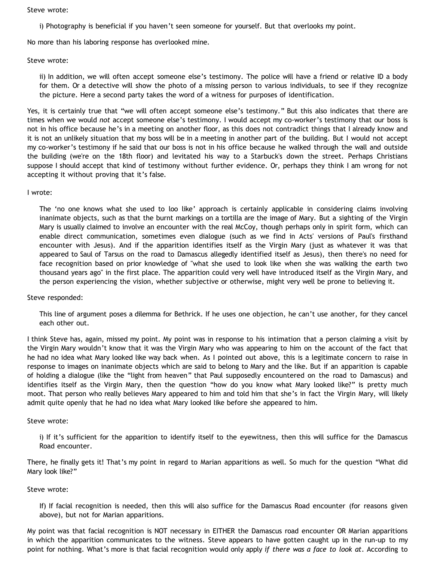Steve wrote:

i) Photography is beneficial if you haven't seen someone for yourself. But that overlooks my point.

No more than his laboring response has overlooked mine.

Steve wrote:

ii) In addition, we will often accept someone else's testimony. The police will have a friend or relative ID a body for them. Or a detective will show the photo of a missing person to various individuals, to see if they recognize the picture. Here a second party takes the word of a witness for purposes of identification.

Yes, it is certainly true that "we will often accept someone else's testimony." But this also indicates that there are times when we would *not* accept someone else's testimony. I would accept my co-worker's testimony that our boss is not in his office because he's in a meeting on another floor, as this does not contradict things that I already know and it is not an unlikely situation that my boss will be in a meeting in another part of the building. But I would not accept my co-worker's testimony if he said that our boss is not in his office because he walked through the wall and outside the building (we're on the 18th floor) and levitated his way to a Starbuck's down the street. Perhaps Christians suppose I should accept that kind of testimony without further evidence. Or, perhaps they think I am wrong for not accepting it without proving that it's false.

I wrote:

The 'no one knows what she used to loo like' approach is certainly applicable in considering claims involving inanimate objects, such as that the burnt markings on a tortilla are the image of Mary. But a sighting of the Virgin Mary is usually claimed to involve an encounter with the real McCoy, though perhaps only in spirit form, which can enable direct communication, sometimes even dialogue (such as we find in Acts' versions of Paul's firsthand encounter with Jesus). And if the apparition identifies itself as the Virgin Mary (just as whatever it was that appeared to Saul of Tarsus on the road to Damascus allegedly identified itself as Jesus), then there's no need for face recognition based on prior knowledge of "what she used to look like when she was walking the earth two thousand years ago" in the first place. The apparition could very well have introduced itself as the Virgin Mary, and the person experiencing the vision, whether subjective or otherwise, might very well be prone to believing it.

Steve responded:

This line of argument poses a dilemma for Bethrick. If he uses one objection, he can't use another, for they cancel each other out.

I think Steve has, again, missed my point. My point was in response to his intimation that a person claiming a visit by the Virgin Mary wouldn't know that it was the Virgin Mary who was appearing to him on the account of the fact that he had no idea what Mary looked like way back when. As I pointed out above, this is a legitimate concern to raise in response to images on inanimate objects which are said to belong to Mary and the like. But if an apparition is capable of holding a dialogue (like the "light from heaven" that Paul supposedly encountered on the road to Damascus) and identifies itself as the Virgin Mary, then the question "how do you know what Mary looked like?" is pretty much moot. That person who really believes Mary appeared to him and told him that she's in fact the Virgin Mary, will likely admit quite openly that he had no idea what Mary looked like before she appeared to him.

Steve wrote:

i) If it's sufficient for the apparition to identify itself to the eyewitness, then this will suffice for the Damascus Road encounter.

There, he finally gets it! That's my point in regard to Marian apparitions as well. So much for the question "What did Mary look like?"

Steve wrote:

If) If facial recognition is needed, then this will also suffice for the Damascus Road encounter (for reasons given above), but not for Marian apparitions.

My point was that facial recognition is NOT necessary in EITHER the Damascus road encounter OR Marian apparitions in which the apparition communicates to the witness. Steve appears to have gotten caught up in the run-up to my point for nothing. What's more is that facial recognition would only apply *if there was a face to look at*. According to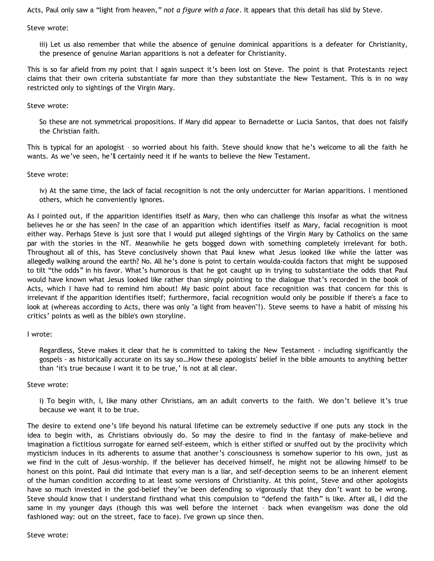Acts, Paul only saw a "light from heaven," *not a figure with a face*. It appears that this detail has slid by Steve.

Steve wrote:

iii) Let us also remember that while the absence of genuine dominical apparitions is a defeater for Christianity, the presence of genuine Marian apparitions is not a defeater for Christianity.

This is so far afield from my point that I again suspect it's been lost on Steve. The point is that Protestants reject claims that their own criteria substantiate far more than they substantiate the New Testament. This is in no way restricted only to sightings of the Virgin Mary.

Steve wrote:

So these are not symmetrical propositions. If Mary did appear to Bernadette or Lucia Santos, that does not falsify the Christian faith.

This is typical for an apologist – so worried about his faith. Steve should know that he's welcome to all the faith he wants. As we've seen, he'll certainly need it if he wants to believe the New Testament.

Steve wrote:

iv) At the same time, the lack of facial recognition is not the only undercutter for Marian apparitions. I mentioned others, which he conveniently ignores.

As I pointed out, if the apparition identifies itself as Mary, then who can challenge this insofar as what the witness believes he or she has seen? In the case of an apparition which identifies itself as Mary, facial recognition is moot either way. Perhaps Steve is just sore that I would put alleged sightings of the Virgin Mary by Catholics on the same par with the stories in the NT. Meanwhile he gets bogged down with something completely irrelevant for both. Throughout all of this, has Steve conclusively shown that Paul knew what Jesus looked like while the latter was allegedly walking around the earth? No. All he's done is point to certain woulda-coulda factors that might be supposed to tilt "the odds" in his favor. What's humorous is that he got caught up in trying to substantiate the odds that Paul would have known what Jesus looked like rather than simply pointing to the dialogue that's recorded in the book of Acts, which I have had to remind him about! My basic point about face recognition was that concern for this is irrelevant if the apparition identifies itself; furthermore, facial recognition would only be possible if there's a face to look at (whereas according to Acts, there was only "a light from heaven"!). Steve seems to have a habit of missing his critics' points as well as the bible's own storyline.

### I wrote:

Regardless, Steve makes it clear that he is committed to taking the New Testament - including significantly the gospels - as historically accurate on its say so…How these apologists' belief in the bible amounts to anything better than 'it's true because I want it to be true,' is not at all clear.

### Steve wrote:

i) To begin with, I, like many other Christians, am an adult converts to the faith. We don't believe it's true because we want it to be true.

The desire to extend one's life beyond his natural lifetime can be extremely seductive if one puts any stock in the idea to begin with, as Christians obviously do. So may the desire to find in the fantasy of make-believe and imagination a fictitious surrogate for earned self-esteem, which is either stifled or snuffed out by the proclivity which mysticism induces in its adherents to assume that another's consciousness is somehow superior to his own, just as we find in the cult of Jesus-worship. If the believer has deceived himself, he might not be allowing himself to be honest on this point. Paul did intimate that every man is a liar, and self-deception seems to be an inherent element of the human condition according to at least some versions of Christianity. At this point, Steve and other apologists have so much invested in the god-belief they've been defending so vigorously that they don't want to be wrong. Steve should know that I understand firsthand what this compulsion to "defend the faith" is like. After all, I did the same in my younger days (though this was well before the internet – back when evangelism was done the old fashioned way: out on the street, face to face). I've grown up since then.

Steve wrote: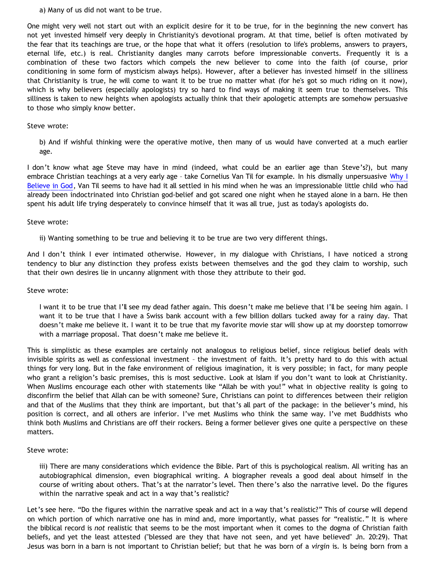a) Many of us did not want to be true.

One might very well not start out with an explicit desire for it to be true, for in the beginning the new convert has not yet invested himself very deeply in Christianity's devotional program. At that time, belief is often motivated by the fear that its teachings are true, or the hope that what it offers (resolution to life's problems, answers to prayers, eternal life, etc.) is real. Christianity dangles many carrots before impressionable converts. Frequently it is a combination of these two factors which compels the new believer to come into the faith (of course, prior conditioning in some form of mysticism always helps). However, after a believer has invested himself in the silliness that Christianity is true, he will come to want it to be true no matter what (for he's got so much riding on it now), which is why believers (especially apologists) try so hard to find ways of making it seem true to themselves. This silliness is taken to new heights when apologists actually think that their apologetic attempts are somehow persuasive to those who simply know better.

### Steve wrote:

b) And if wishful thinking were the operative motive, then many of us would have converted at a much earlier age.

I don't know what age Steve may have in mind (indeed, what could be an earlier age than Steve's?), but many embrace Christian teachings at a very early age - take Cornelius Van Til for example. In his dismally unpersuasive [Why I](http://www.mountainretreatorg.net/apologetics/whyibelieveingod.html) [Believe in God](http://www.mountainretreatorg.net/apologetics/whyibelieveingod.html), Van Til seems to have had it all settled in his mind when he was an impressionable little child who had already been indoctrinated into Christian god-belief and got scared one night when he stayed alone in a barn. He then spent his adult life trying desperately to convince himself that it was all true, just as today's apologists do.

#### Steve wrote:

ii) Wanting something to be true and believing it to be true are two very different things.

And I don't think I ever intimated otherwise. However, in my dialogue with Christians, I have noticed a strong tendency to blur any distinction they profess exists between themselves and the god they claim to worship, such that their own desires lie in uncanny alignment with those they attribute to their god.

### Steve wrote:

I want it to be true that I'll see my dead father again. This doesn't make me believe that I'll be seeing him again. I want it to be true that I have a Swiss bank account with a few billion dollars tucked away for a rainy day. That doesn't make me believe it. I want it to be true that my favorite movie star will show up at my doorstep tomorrow with a marriage proposal. That doesn't make me believe it.

This is simplistic as these examples are certainly not analogous to religious belief, since religious belief deals with invisible spirits as well as confessional investment – the investment of faith. It's pretty hard to do this with actual things for very long. But in the fake environment of religious imagination, it is very possible; in fact, for many people who grant a religion's basic premises, this is most seductive. Look at Islam if you don't want to look at Christianity. When Muslims encourage each other with statements like "Allah be with you!" what in objective reality is going to disconfirm the belief that Allah can be with someone? Sure, Christians can point to differences between their religion and that of the Muslims that they think are important, but that's all part of the package: in the believer's mind, his position is correct, and all others are inferior. I've met Muslims who think the same way. I've met Buddhists who think both Muslims and Christians are off their rockers. Being a former believer gives one quite a perspective on these matters.

### Steve wrote:

iii) There are many considerations which evidence the Bible. Part of this is psychological realism. All writing has an autobiographical dimension, even biographical writing. A biographer reveals a good deal about himself in the course of writing about others. That's at the narrator's level. Then there's also the narrative level. Do the figures within the narrative speak and act in a way that's realistic?

Let's see here. "Do the figures within the narrative speak and act in a way that's realistic?" This of course will depend on which portion of which narrative one has in mind and, more importantly, what passes for "realistic." It is where the biblical record is *not* realistic that seems to be the most important when it comes to the dogma of Christian faith beliefs, and yet the least attested ("blessed are they that have not seen, and yet have believed" Jn. 20:29). That Jesus was born in a barn is not important to Christian belief; but that he was born of a *virgin* is. Is being born from a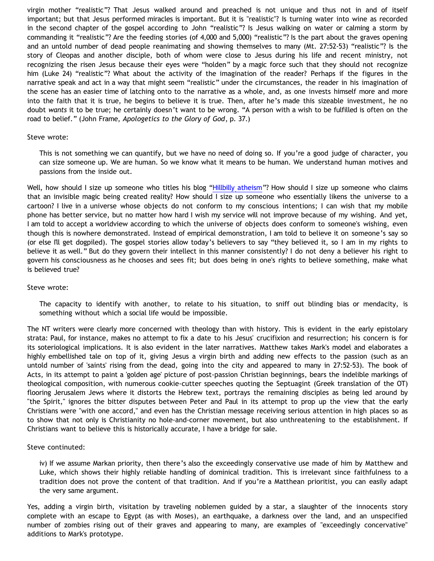virgin mother "realistic"? That Jesus walked around and preached is not unique and thus not in and of itself important; but that Jesus performed miracles is important. But it is "realistic"? Is turning water into wine as recorded in the second chapter of the gospel according to John "realistic"? Is Jesus walking on water or calming a storm by commanding it "realistic"? Are the feeding stories (of 4,000 and 5,000) "realistic"? Is the part about the graves opening and an untold number of dead people reanimating and showing themselves to many (Mt. 27:52-53) "realistic"? Is the story of Cleopas and another disciple, both of whom were close to Jesus during his life and recent ministry, not recognizing the risen Jesus because their eyes were "holden" by a magic force such that they should not recognize him (Luke 24) "realistic"? What about the activity of the imagination of the reader? Perhaps if the figures in the narrative speak and act in a way that might seem "realistic" under the circumstances, the reader in his imagination of the scene has an easier time of latching onto to the narrative as a whole, and, as one invests himself more and more into the faith that it is true, he begins to believe it is true. Then, after he's made this sizeable investment, he no doubt *wants* it to be true; he certainly doesn't want to be wrong. "A person with a wish to be fulfilled is often on the road to belief." (John Frame, *Apologetics to the Glory of God*, p. 37.)

#### Steve wrote:

This is not something we can quantify, but we have no need of doing so. If you're a good judge of character, you can size someone up. We are human. So we know what it means to be human. We understand human motives and passions from the inside out.

Well, how should I size up someone who titles his blog ["Hillbilly atheism"](http://triablogue.blogspot.com/2006/05/hillbilly-atheism.html)? How should I size up someone who claims that an invisible magic being created reality? How should I size up someone who essentially likens the universe to a cartoon? I live in a universe whose objects do not conform to my conscious intentions; I can wish that my mobile phone has better service, but no matter how hard I wish my service will not improve because of my wishing. And yet, I am told to accept a worldview according to which the universe of objects does conform to someone's wishing, even though this is nowhere demonstrated. Instead of empirical demonstration, I am told to believe it on someone's say so (or else I'll get dogpiled). The gospel stories allow today's believers to say "they believed it, so I am in my rights to believe it as well." But do they govern their intellect in this manner consistently? I do not deny a believer his right to govern his consciousness as he chooses and sees fit; but does being in one's rights to believe something, make what is believed true?

### Steve wrote:

The capacity to identify with another, to relate to his situation, to sniff out blinding bias or mendacity, is something without which a social life would be impossible.

The NT writers were clearly more concerned with theology than with history. This is evident in the early epistolary strata: Paul, for instance, makes no attempt to fix a date to his Jesus' crucifixion and resurrection; his concern is for its soteriological implications. It is also evident in the later narratives. Matthew takes Mark's model and elaborates a highly embellished tale on top of it, giving Jesus a virgin birth and adding new effects to the passion (such as an untold number of 'saints' rising from the dead, going into the city and appeared to many in 27:52-53). The book of Acts, in its attempt to paint a 'golden age' picture of post-passion Christian beginnings, bears the indelible markings of theological composition, with numerous cookie-cutter speeches quoting the Septuagint (Greek translation of the OT) flooring Jerusalem Jews where it distorts the Hebrew text, portrays the remaining disciples as being led around by "the Spirit," ignores the bitter disputes between Peter and Paul in its attempt to prop up the view that the early Christians were "with one accord," and even has the Christian message receiving serious attention in high places so as to show that not only is Christianity no hole-and-corner movement, but also unthreatening to the establishment. If Christians want to believe this is historically accurate, I have a bridge for sale.

### Steve continuted:

iv) If we assume Markan priority, then there's also the exceedingly conservative use made of him by Matthew and Luke, which shows their highly reliable handling of dominical tradition. This is irrelevant since faithfulness to a tradition does not prove the content of that tradition. And if you're a Matthean prioritist, you can easily adapt the very same argument.

Yes, adding a virgin birth, visitation by traveling noblemen guided by a star, a slaughter of the innocents story complete with an escape to Egypt (as with Moses), an earthquake, a darkness over the land, and an unspecified number of zombies rising out of their graves and appearing to many, are examples of "exceedingly concervative" additions to Mark's prototype.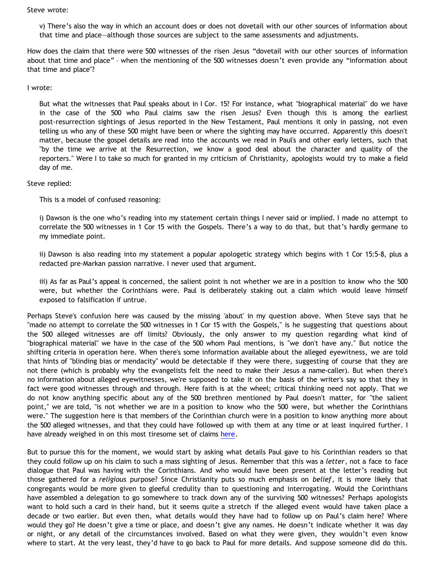Steve wrote:

v) There's also the way in which an account does or does not dovetail with our other sources of information about that time and place—although those sources are subject to the same assessments and adjustments.

How does the claim that there were 500 witnesses of the risen Jesus "dovetail with our other sources of information about that time and place" – when the mentioning of the 500 witnesses doesn't even provide any "information about that time and place"?

## I wrote:

But what the witnesses that Paul speaks about in I Cor. 15? For instance, what "biographical material" do we have in the case of the 500 who Paul claims saw the risen Jesus? Even though this is among the earliest post-resurrection sightings of Jesus reported in the New Testament, Paul mentions it only in passing, not even telling us who any of these 500 might have been or where the sighting may have occurred. Apparently this doesn't matter, because the gospel details are read into the accounts we read in Paul's and other early letters, such that "by the time we arrive at the Resurrection, we know a good deal about the character and quality of the reporters." Were I to take so much for granted in my criticism of Christianity, apologists would try to make a field day of me.

## Steve replied:

This is a model of confused reasoning:

i) Dawson is the one who's reading into my statement certain things I never said or implied. I made no attempt to correlate the 500 witnesses in 1 Cor 15 with the Gospels. There's a way to do that, but that's hardly germane to my immediate point.

ii) Dawson is also reading into my statement a popular apologetic strategy which begins with 1 Cor 15:5-8, plus a redacted pre-Markan passion narrative. I never used that argument.

iii) As far as Paul's appeal is concerned, the salient point is not whether we are in a position to know who the 500 were, but whether the Corinthians were. Paul is deliberately staking out a claim which would leave himself exposed to falsification if untrue.

Perhaps Steve's confusion here was caused by the missing 'about' in my question above. When Steve says that he "made no attempt to correlate the 500 witnesses in 1 Cor 15 with the Gospels," is he suggesting that questions about the 500 alleged witnesses are off limits? Obviously, the only answer to my question regarding what kind of "biographical material" we have in the case of the 500 whom Paul mentions, is "we don't have any." But notice the shifting criteria in operation here. When there's some information available about the alleged eyewitness, we are told that hints of "blinding bias or mendacity" would be detectable if they were there, suggesting of course that they are not there (which is probably why the evangelists felt the need to make their Jesus a name-caller). But when there's no information about alleged eyewitnesses, we're supposed to take it on the basis of the writer's say so that they in fact were good witnesses through and through. Here faith is at the wheel; critical thinking need not apply. That we do not know anything specific about any of the 500 brethren mentioned by Paul doesn't matter, for "the salient point," we are told, "is not whether we are in a position to know who the 500 were, but whether the Corinthians were." The suggestion here is that members of the Corinthian church were in a position to know anything more about the 500 alleged witnesses, and that they could have followed up with them at any time or at least inquired further. I have already weighed in on this most tiresome set of claims [here](http://bahnsenburner.blogspot.com/2005/05/five-hundred-anonymous-witnesses.html).

But to pursue this for the moment, we would start by asking what details Paul gave to his Corinthian readers so that they could follow up on his claim to such a mass sighting of Jesus. Remember that this was a *letter*, not a face to face dialogue that Paul was having with the Corinthians. And who would have been present at the letter's reading but those gathered for a *religious* purpose? Since Christianity puts so much emphasis on *belief*, it is more likely that congregants would be more given to gleeful credulity than to questioning and interrogating. Would the Corinthians have assembled a delegation to go somewhere to track down any of the surviving 500 witnesses? Perhaps apologists want to hold such a card in their hand, but it seems quite a stretch if the alleged event would have taken place a decade or two earlier. But even then, what details would they have had to follow up on Paul's claim here? Where would they go? He doesn't give a time or place, and doesn't give any names. He doesn't indicate whether it was day or night, or any detail of the circumstances involved. Based on what they were given, they wouldn't even know where to start. At the very least, they'd have to go back to Paul for more details. And suppose someone did do this.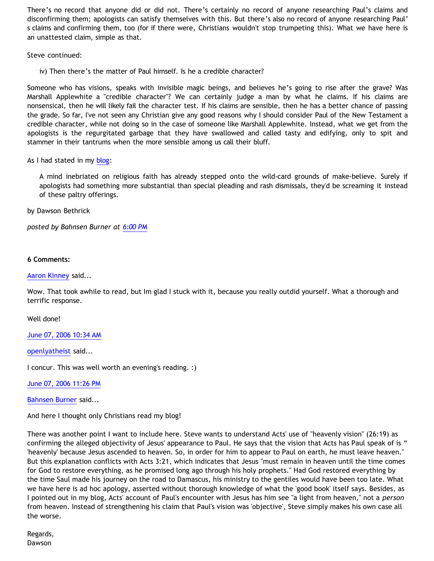There's no record that anyone did or did not. There's certainly no record of anyone researching Paul's claims and disconfirming them; apologists can satisfy themselves with this. But there's also no record of anyone researching Paul' s claims and confirming them, too (for if there were, Christians wouldn't stop trumpeting this). What we have here is an unattested claim, simple as that.

Steve continued:

iv) Then there's the matter of Paul himself. Is he a credible character?

Someone who has visions, speaks with invisible magic beings, and believes he's going to rise after the grave? Was Marshall Applewhite a "credible character"? We can certainly judge a man by what he claims. If his claims are nonsensical, then he will likely fail the character test. If his claims are sensible, then he has a better chance of passing the grade. So far, I've not seen any Christian give any good reasons why I should consider Paul of the New Testament a credible character, while not doing so in the case of someone like Marshall Applewhite. Instead, what we get from the apologists is the regurgitated garbage that they have swallowed and called tasty and edifying, only to spit and stammer in their tantrums when the more sensible among us call their bluff.

As I had stated in my  $blog$ :

A mind inebriated on religious faith has already stepped onto the wild-card grounds of make-believe. Surely if apologists had something more substantial than special pleading and rash dismissals, they'd be screaming it instead of these paltry offerings.

by Dawson Bethrick

*posted by Bahnsen Burner at [6:00 PM](http://bahnsenburner.blogspot.com/2006/06/seeing-through-hays_06.html)*

## **6 Comments:**

## [Aaron Kinney](http://www.blogger.com/profile/8138664) said...

Wow. That took awhile to read, but Im glad I stuck with it, because you really outdid yourself. What a thorough and terrific response.

Well done!

[June 07, 2006 10:34 AM](http://bahnsenburner.blogspot.com/2006/06/114970166111233821)

[openlyatheist](http://www.blogger.com/profile/21582664) said...

I concur. This was well worth an evening's reading. :)

[June 07, 2006 11:26 PM](http://bahnsenburner.blogspot.com/2006/06/114974798271252614)

[Bahnsen Burner](http://www.blogger.com/profile/7766918) said...

And here I thought only Christians read my blog!

There was another point I want to include here. Steve wants to understand Acts' use of "heavenly vision" (26:19) as confirming the alleged objectivity of Jesus' appearance to Paul. He says that the vision that Acts has Paul speak of is " 'heavenly' because Jesus ascended to heaven. So, in order for him to appear to Paul on earth, he must leave heaven." But this explanation conflicts with Acts 3:21, which indicates that Jesus "must remain in heaven until the time comes for God to restore everything, as he promised long ago through his holy prophets." Had God restored everything by the time Saul made his journey on the road to Damascus, his ministry to the gentiles would have been too late. What we have here is ad hoc apology, asserted without thorough knowledge of what the 'good book' itself says. Besides, as I pointed out in my blog, Acts' account of Paul's encounter with Jesus has him see "a light from heaven," not a *person* from heaven. Instead of strengthening his claim that Paul's vision was 'objective', Steve simply makes his own case all the worse.

Regards, Dawson